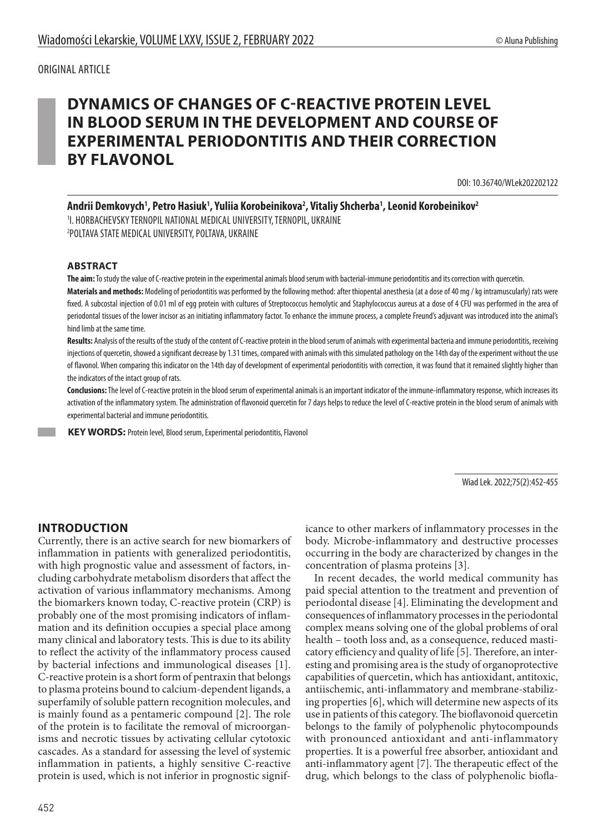## ORIGINAL ARTICLE

# **DYNAMICS OF CHANGES OF C-REACTIVE PROTEIN LEVEL IN BLOOD SERUM IN THE DEVELOPMENT AND COURSE OF EXPERIMENTAL PERIODONTITIS AND THEIR CORRECTION BY FLAVONOL**

DOI: 10.36740/WLek202202122

Andrii Demkovych<sup>1</sup>, Petro Hasiuk<sup>1</sup>, Yuliia Korobeinikova<sup>2</sup>, Vitaliy Shcherba<sup>1</sup>, Leonid Korobeinikov<sup>2</sup>

1 I. HORBACHEVSKY TERNOPIL NATIONAL MEDICAL UNIVERSITY,TERNOPIL, UKRAINE 2 POLTAVA STATE MEDICAL UNIVERSITY, POLTAVA, UKRAINE

#### **ABSTRACT**

**The aim:** To study the value of C-reactive protein in the experimental animals blood serum with bacterial-immune periodontitis and its correction with quercetin. **Materials and methods:** Modeling of periodontitis was performed by the following method: after thiopental anesthesia (at a dose of 40 mg / kg intramuscularly) rats were fixed. A subcostal injection of 0.01 ml of egg protein with cultures of Streptococcus hemolytic and Staphylococcus aureus at a dose of 4 CFU was performed in the area of periodontal tissues of the lower incisor as an initiating inflammatory factor. To enhance the immune process, a complete Freund's adjuvant was introduced into the animal's hind limb at the same time.

**Results:** Analysis of the results of the study of the content of C-reactive protein in the blood serum of animals with experimental bacteria and immune periodontitis, receiving injections of quercetin, showed a significant decrease by 1.31 times, compared with animals with this simulated pathology on the 14th day of the experiment without the use of flavonol. When comparing this indicator on the 14th day of development of experimental periodontitis with correction, it was found that it remained slightly higher than the indicators of the intact group of rats.

**Conclusions:** The level of C-reactive protein in the blood serum of experimental animals is an important indicator of the immune-inflammatory response, which increases its activation of the inflammatory system. The administration of flavonoid quercetin for 7 days helps to reduce the level of C-reactive protein in the blood serum of animals with experimental bacterial and immune periodontitis.

**KEY WORDS: Protein level, Blood serum, Experimental periodontitis, Flavonol** 

Wiad Lek. 2022;75(2):452-455

## **INTRODUCTION**

Currently, there is an active search for new biomarkers of inflammation in patients with generalized periodontitis, with high prognostic value and assessment of factors, including carbohydrate metabolism disorders that affect the activation of various inflammatory mechanisms. Among the biomarkers known today, C-reactive protein (CRP) is probably one of the most promising indicators of inflammation and its definition occupies a special place among many clinical and laboratory tests. This is due to its ability to reflect the activity of the inflammatory process caused by bacterial infections and immunological diseases [1]. C-reactive protein is a short form of pentraxin that belongs to plasma proteins bound to calcium-dependent ligands, a superfamily of soluble pattern recognition molecules, and is mainly found as a pentameric compound [2]. The role of the protein is to facilitate the removal of microorganisms and necrotic tissues by activating cellular cytotoxic cascades. As a standard for assessing the level of systemic inflammation in patients, a highly sensitive C-reactive protein is used, which is not inferior in prognostic significance to other markers of inflammatory processes in the body. Microbe-inflammatory and destructive processes occurring in the body are characterized by changes in the concentration of plasma proteins [3].

In recent decades, the world medical community has paid special attention to the treatment and prevention of periodontal disease [4]. Eliminating the development and consequences of inflammatory processes in the periodontal complex means solving one of the global problems of oral health – tooth loss and, as a consequence, reduced masticatory efficiency and quality of life [5]. Therefore, an interesting and promising area is the study of organoprotective capabilities of quercetin, which has antioxidant, antitoxic, antiischemic, anti-inflammatory and membrane-stabilizing properties [6], which will determine new aspects of its use in patients of this category. The bioflavonoid quercetin belongs to the family of polyphenolic phytocompounds with pronounced antioxidant and anti-inflammatory properties. It is a powerful free absorber, antioxidant and anti-inflammatory agent [7]. The therapeutic effect of the drug, which belongs to the class of polyphenolic biofla-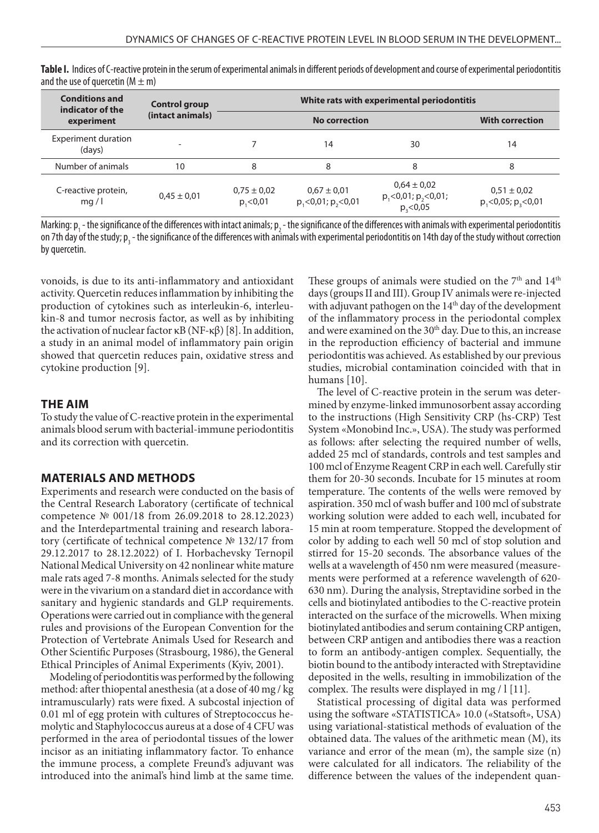| <b>Conditions and</b><br>indicator of the<br>experiment | Control group<br>(intact animals) | White rats with experimental periodontitis |                                       |                                                              |                                     |
|---------------------------------------------------------|-----------------------------------|--------------------------------------------|---------------------------------------|--------------------------------------------------------------|-------------------------------------|
|                                                         |                                   |                                            | <b>No correction</b>                  |                                                              | <b>With correction</b>              |
| <b>Experiment duration</b><br>(days)                    |                                   |                                            | 14                                    | 30                                                           | 14                                  |
| Number of animals                                       | 10                                | 8                                          | 8                                     | 8                                                            | 8                                   |
| C-reactive protein,<br>mq/1                             | $0.45 \pm 0.01$                   | $0,75 \pm 0,02$<br>p, < 0, 01              | $0.67 \pm 0.01$<br>p, 0, 01; p, 0, 01 | $0.64 \pm 0.02$<br>$p_1 < 0.01; p_2 < 0.01;$<br>$p_3 < 0.05$ | $0,51 \pm 0,02$<br>p, 0.05; p, 0.01 |

**Table I.** Indices of C-reactive protein in the serum of experimental animals in different periods of development and course of experimental periodontitis and the use of quercetin ( $M \pm m$ )

Marking:  $p_1$  - the significance of the differences with intact animals;  $p_2$  - the significance of the differences with animals with experimental periodontitis on 7th day of the study; p<sub>3</sub> - the significance of the differences with animals with experimental periodontitis on 14th day of the study without correction by quercetin.

vonoids, is due to its anti-inflammatory and antioxidant activity. Quercetin reduces inflammation by inhibiting the production of cytokines such as interleukin-6, interleukin-8 and tumor necrosis factor, as well as by inhibiting the activation of nuclear factor κB (NF-κβ) [8]. In addition, a study in an animal model of inflammatory pain origin showed that quercetin reduces pain, oxidative stress and cytokine production [9].

#### **THE AIM**

To study the value of C-reactive protein in the experimental animals blood serum with bacterial-immune periodontitis and its correction with quercetin.

### **MATERIALS AND METHODS**

Experiments and research were conducted on the basis of the Central Research Laboratory (certificate of technical competence № 001/18 from 26.09.2018 to 28.12.2023) and the Interdepartmental training and research laboratory (certificate of technical competence № 132/17 from 29.12.2017 to 28.12.2022) of I. Horbachevsky Ternopil National Medical University on 42 nonlinear white mature male rats aged 7-8 months. Animals selected for the study were in the vivarium on a standard diet in accordance with sanitary and hygienic standards and GLP requirements. Operations were carried out in compliance with the general rules and provisions of the European Convention for the Protection of Vertebrate Animals Used for Research and Other Scientific Purposes (Strasbourg, 1986), the General Ethical Principles of Animal Experiments (Kyiv, 2001).

Modeling of periodontitis was performed by the following method: after thiopental anesthesia (at a dose of 40 mg / kg intramuscularly) rats were fixed. A subcostal injection of 0.01 ml of egg protein with cultures of Streptococcus hemolytic and Staphylococcus aureus at a dose of 4 CFU was performed in the area of periodontal tissues of the lower incisor as an initiating inflammatory factor. To enhance the immune process, a complete Freund's adjuvant was introduced into the animal's hind limb at the same time. These groups of animals were studied on the 7<sup>th</sup> and 14<sup>th</sup> days (groups II and III). Group IV animals were re-injected with adjuvant pathogen on the 14<sup>th</sup> day of the development of the inflammatory process in the periodontal complex and were examined on the 30th day. Due to this, an increase in the reproduction efficiency of bacterial and immune periodontitis was achieved. As established by our previous studies, microbial contamination coincided with that in humans [10].

The level of C-reactive protein in the serum was determined by enzyme-linked immunosorbent assay according to the instructions (High Sensitivity CRP (hs-CRP) Test System «Monobind Inc.», USA). The study was performed as follows: after selecting the required number of wells, added 25 mcl of standards, controls and test samples and 100 mcl of Enzyme Reagent CRP in each well. Carefully stir them for 20-30 seconds. Incubate for 15 minutes at room temperature. The contents of the wells were removed by aspiration. 350 mcl of wash buffer and 100 mcl of substrate working solution were added to each well, incubated for 15 min at room temperature. Stopped the development of color by adding to each well 50 mcl of stop solution and stirred for 15-20 seconds. The absorbance values of the wells at a wavelength of 450 nm were measured (measurements were performed at a reference wavelength of 620- 630 nm). During the analysis, Streptavidine sorbed in the cells and biotinylated antibodies to the C-reactive protein interacted on the surface of the microwells. When mixing biotinylated antibodies and serum containing CRP antigen, between CRP antigen and antibodies there was a reaction to form an antibody-antigen complex. Sequentially, the biotin bound to the antibody interacted with Streptavidine deposited in the wells, resulting in immobilization of the complex. The results were displayed in mg / l [11].

Statistical processing of digital data was performed using the software «STATISTICA» 10.0 («Statsoft», USA) using variational-statistical methods of evaluation of the obtained data. The values of the arithmetic mean (M), its variance and error of the mean (m), the sample size (n) were calculated for all indicators. The reliability of the difference between the values of the independent quan-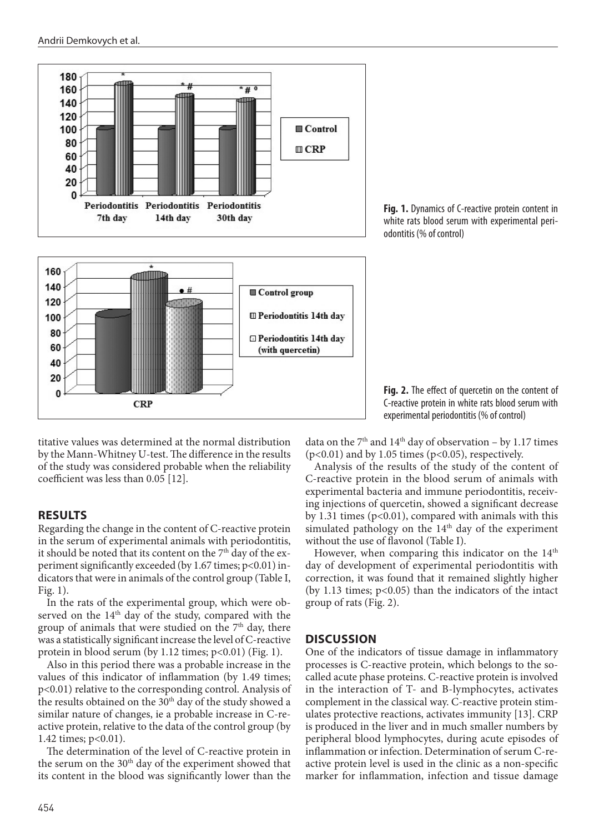

titative values was determined at the normal distribution by the Mann-Whitney U-test. The difference in the results of the study was considered probable when the reliability coefficient was less than 0.05 [12].

### **RESULTS**

Regarding the change in the content of C-reactive protein in the serum of experimental animals with periodontitis, it should be noted that its content on the 7<sup>th</sup> day of the experiment significantly exceeded (by 1.67 times; p<0.01) indicators that were in animals of the control group (Table I, Fig. 1).

In the rats of the experimental group, which were observed on the 14<sup>th</sup> day of the study, compared with the group of animals that were studied on the 7<sup>th</sup> day, there was a statistically significant increase the level of C-reactive protein in blood serum (by 1.12 times;  $p<0.01$ ) (Fig. 1).

Also in this period there was a probable increase in the values of this indicator of inflammation (by 1.49 times; p<0.01) relative to the corresponding control. Analysis of the results obtained on the  $30<sup>th</sup>$  day of the study showed a similar nature of changes, ie a probable increase in C-reactive protein, relative to the data of the control group (by 1.42 times; p<0.01).

The determination of the level of C-reactive protein in the serum on the  $30<sup>th</sup>$  day of the experiment showed that its content in the blood was significantly lower than the

**Fig. 1.** Dynamics of C-reactive protein content in white rats blood serum with experimental periodontitis (% of control)



data on the  $7<sup>th</sup>$  and  $14<sup>th</sup>$  day of observation – by 1.17 times  $(p<0.01)$  and by 1.05 times  $(p<0.05)$ , respectively.

Analysis of the results of the study of the content of C-reactive protein in the blood serum of animals with experimental bacteria and immune periodontitis, receiving injections of quercetin, showed a significant decrease by 1.31 times ( $p<0.01$ ), compared with animals with this simulated pathology on the  $14<sup>th</sup>$  day of the experiment without the use of flavonol (Table I).

However, when comparing this indicator on the  $14<sup>th</sup>$ day of development of experimental periodontitis with correction, it was found that it remained slightly higher (by 1.13 times; p<0.05) than the indicators of the intact group of rats (Fig. 2).

## **DISCUSSION**

One of the indicators of tissue damage in inflammatory processes is C-reactive protein, which belongs to the socalled acute phase proteins. C-reactive protein is involved in the interaction of T- and B-lymphocytes, activates complement in the classical way. C-reactive protein stimulates protective reactions, activates immunity [13]. CRP is produced in the liver and in much smaller numbers by peripheral blood lymphocytes, during acute episodes of inflammation or infection. Determination of serum C-reactive protein level is used in the clinic as a non-specific marker for inflammation, infection and tissue damage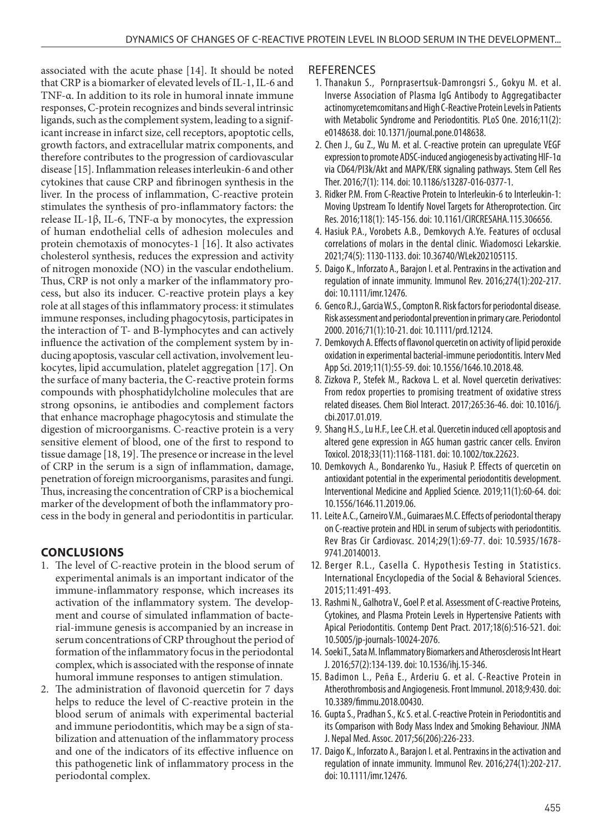associated with the acute phase [14]. It should be noted that CRP is a biomarker of elevated levels of IL-1, IL-6 and TNF-α. In addition to its role in humoral innate immune responses, C-protein recognizes and binds several intrinsic ligands, such as the complement system, leading to a significant increase in infarct size, cell receptors, apoptotic cells, growth factors, and extracellular matrix components, and therefore contributes to the progression of cardiovascular disease [15]. Inflammation releases interleukin-6 and other cytokines that cause CRP and fibrinogen synthesis in the liver. In the process of inflammation, C-reactive protein stimulates the synthesis of pro-inflammatory factors: the release IL-1β, IL-6, TNF-α by monocytes, the expression of human endothelial cells of adhesion molecules and protein chemotaxis of monocytes-1 [16]. It also activates cholesterol synthesis, reduces the expression and activity of nitrogen monoxide (NO) in the vascular endothelium. Thus, CRP is not only a marker of the inflammatory process, but also its inducer. C-reactive protein plays a key role at all stages of this inflammatory process: it stimulates immune responses, including phagocytosis, participates in the interaction of T- and B-lymphocytes and can actively influence the activation of the complement system by inducing apoptosis, vascular cell activation, involvement leukocytes, lipid accumulation, platelet aggregation [17]. On the surface of many bacteria, the C-reactive protein forms compounds with phosphatidylcholine molecules that are strong opsonins, ie antibodies and complement factors that enhance macrophage phagocytosis and stimulate the digestion of microorganisms. C-reactive protein is a very sensitive element of blood, one of the first to respond to tissue damage [18, 19]. The presence or increase in the level of CRP in the serum is a sign of inflammation, damage, penetration of foreign microorganisms, parasites and fungi. Thus, increasing the concentration of CRP is a biochemical marker of the development of both the inflammatory process in the body in general and periodontitis in particular.

## **CONCLUSIONS**

- 1. The level of C-reactive protein in the blood serum of experimental animals is an important indicator of the immune-inflammatory response, which increases its activation of the inflammatory system. The development and course of simulated inflammation of bacterial-immune genesis is accompanied by an increase in serum concentrations of CRP throughout the period of formation of the inflammatory focus in the periodontal complex, which is associated with the response of innate humoral immune responses to antigen stimulation.
- 2. The administration of flavonoid quercetin for 7 days helps to reduce the level of C-reactive protein in the blood serum of animals with experimental bacterial and immune periodontitis, which may be a sign of stabilization and attenuation of the inflammatory process and one of the indicators of its effective influence on this pathogenetic link of inflammatory process in the periodontal complex.

## **REFERENCES**

- 1. Thanakun S., Pornprasertsuk-Damrongsri S., Gokyu M. et al. Inverse Association of Plasma IgG Antibody to Aggregatibacter actinomycetemcomitans and High C-Reactive Protein Levels in Patients with Metabolic Syndrome and Periodontitis. PLoS One. 2016;11(2): e0148638. doi: 10.1371/journal.pone.0148638.
- 2. Chen J., Gu Z., Wu M. et al. C-reactive protein can upregulate VEGF expression to promote ADSC-induced angiogenesis by activating HIF-1α via CD64/PI3k/Akt and MAPK/ERK signaling pathways. Stem Cell Res Ther. 2016;7(1): 114. doi: 10.1186/s13287-016-0377-1.
- 3. Ridker P.M. From C-Reactive Protein to Interleukin-6 to Interleukin-1: Moving Upstream To Identify Novel Targets for Atheroprotection. Circ Res. 2016;118(1): 145-156. doi: 10.1161/CIRCRESAHA.115.306656.
- 4. Hasiuk P.A., Vorobets A.B., Demkovych A.Ye. Features of occlusal correlations of molars in the dental clinic. Wiadomosci Lekarskie. 2021;74(5): 1130-1133. doi: 10.36740/WLek202105115.
- 5. Daigo K., Inforzato A., Barajon I. et al. Pentraxins in the activation and regulation of innate immunity. Immunol Rev. 2016;274(1):202-217. doi: 10.1111/imr.12476.
- 6. Genco R.J., Garcia W.S., Compton R. Risk factors for periodontal disease. Risk assessment and periodontal prevention in primary care. Periodontol 2000. 2016;71(1):10-21. doi: 10.1111/prd.12124.
- 7. Demkovych A. Effects of flavonol quercetin on activity of lipid peroxide oxidation in experimental bacterial-immune periodontitis. Interv Med App Sci. 2019;11(1):55-59. doi: 10.1556/1646.10.2018.48.
- 8. Zizkova P., Stefek M., Rackova L. et al. Novel quercetin derivatives: From redox properties to promising treatment of oxidative stress related diseases. Chem Biol Interact. 2017;265:36-46. doi: 10.1016/j. cbi.2017.01.019.
- 9. Shang H.S., Lu H.F., Lee C.H. et al. Quercetin induced cell apoptosis and altered gene expression in AGS human gastric cancer cells. Environ Toxicol. 2018;33(11):1168-1181. doi: 10.1002/tox.22623.
- 10. Demkovych A., Bondarenko Yu., Hasiuk P. Effects of quercetin on antioxidant potential in the experimental periodontitis development. Interventional Medicine and Applied Science. 2019;11(1):60-64. doi: 10.1556/1646.11.2019.06.
- 11. Leite A.C., Carneiro V.M., Guimaraes M.C. Effects of periodontal therapy on C-reactive protein and HDL in serum of subjects with periodontitis. Rev Bras Cir Cardiovasc. 2014;29(1):69-77. doi: 10.5935/1678- 9741.20140013.
- 12. Berger R.L., Casella C. Hypothesis Testing in Statistics. International Encyclopedia of the Social & Behavioral Sciences. 2015;11:491-493.
- 13. Rashmi N., Galhotra V., Goel P. et al. Assessment of C-reactive Proteins, Cytokines, and Plasma Protein Levels in Hypertensive Patients with Apical Periodontitis. Contemp Dent Pract. 2017;18(6):516-521. doi: 10.5005/jp-journals-10024-2076.
- 14. Soeki T., Sata M. Inflammatory Biomarkers and Atherosclerosis Int Heart J. 2016;57(2):134-139. doi: 10.1536/ihj.15-346.
- 15. Badimon L., Peña E., Arderiu G. et al. C-Reactive Protein in Atherothrombosis and Angiogenesis. Front Immunol. 2018;9:430. doi: 10.3389/fimmu.2018.00430.
- 16. Gupta S., Pradhan S., Kc S. et al. C-reactive Protein in Periodontitis and its Comparison with Body Mass Index and Smoking Behaviour. JNMA J. Nepal Med. Assoc. 2017;56(206):226-233.
- 17. Daigo K., Inforzato A., Barajon I. et al. Pentraxins in the activation and regulation of innate immunity. Immunol Rev. 2016;274(1):202-217. doi: 10.1111/imr.12476.